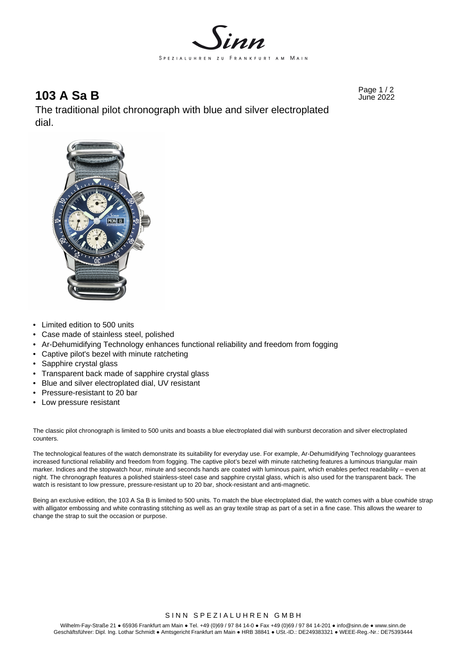

# Page 1 / 2 **103 A Sa B** June 2022

The traditional pilot chronograph with blue and silver electroplated dial.



- Limited edition to 500 units
- Case made of stainless steel, polished
- Ar-Dehumidifying Technology enhances functional reliability and freedom from fogging
- Captive pilot's bezel with minute ratcheting
- Sapphire crystal glass
- Transparent back made of sapphire crystal glass
- Blue and silver electroplated dial, UV resistant
- Pressure-resistant to 20 bar
- Low pressure resistant

The classic pilot chronograph is limited to 500 units and boasts a blue electroplated dial with sunburst decoration and silver electroplated counters.

The technological features of the watch demonstrate its suitability for everyday use. For example, Ar-Dehumidifying Technology guarantees increased functional reliability and freedom from fogging. The captive pilot's bezel with minute ratcheting features a luminous triangular main marker. Indices and the stopwatch hour, minute and seconds hands are coated with luminous paint, which enables perfect readability – even at night. The chronograph features a polished stainless-steel case and sapphire crystal glass, which is also used for the transparent back. The watch is resistant to low pressure, pressure-resistant up to 20 bar, shock-resistant and anti-magnetic.

Being an exclusive edition, the 103 A Sa B is limited to 500 units. To match the blue electroplated dial, the watch comes with a blue cowhide strap with alligator embossing and white contrasting stitching as well as an gray textile strap as part of a set in a fine case. This allows the wearer to change the strap to suit the occasion or purpose.

SINN SPEZIALUHREN GMBH